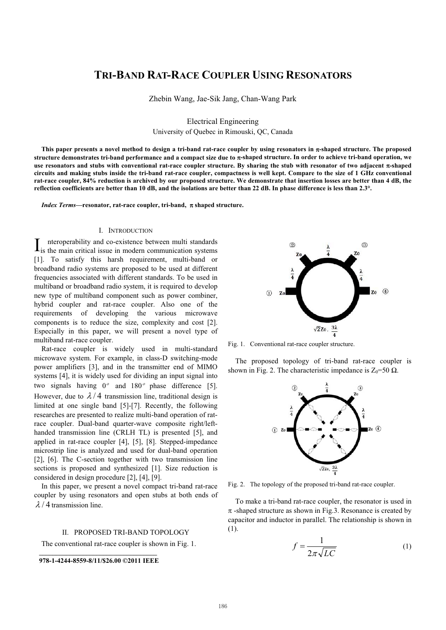# **TRI-BAND RAT-RACE COUPLER USING RESONATORS**

Zhebin Wang, Jae-Sik Jang, Chan-Wang Park

Electrical Engineering University of Quebec in Rimouski, QC, Canada

This paper presents a novel method to design a tri-band rat-race coupler by using resonators in  $\pi$ -shaped structure. The proposed structure demonstrates tri-band performance and a compact size due to <del>a</del>-shaped structure. In order to achieve tri-band operation, we use resonators and stubs with conventional rat-race coupler structure. By sharing the stub with resonator of two adjacent  $\pi$ -shaped **circuits and making stubs inside the tri-band rat-race coupler, compactness is well kept. Compare to the size of 1 GHz conventional rat-race coupler, 84% reduction is archived by our proposed structure. We demonstrate that insertion losses are better than 4 dB, the reflection coefficients are better than 10 dB, and the isolations are better than 22 dB. In phase difference is less than 2.3°.**

Index Terms-resonator, rat-race coupler, tri-band, π shaped structure.

### I. INTRODUCTION

nteroperability and co-existence between multi standards  $\mathbf{I}_{\text{is}}$  is the main critical issue in modern communication systems [1]. To satisfy this harsh requirement, multi-band or broadband radio systems are proposed to be used at different frequencies associated with different standards. To be used in multiband or broadband radio system, it is required to develop new type of multiband component such as power combiner, hybrid coupler and rat-race coupler. Also one of the requirements of developing the various microwave components is to reduce the size, complexity and cost [2]. Especially in this paper, we will present a novel type of multiband rat-race coupler.

Rat-race coupler is widely used in multi-standard microwave system. For example, in class-D switching-mode power amplifiers [3], and in the transmitter end of MIMO systems [4], it is widely used for dividing an input signal into two signals having  $0^{\circ}$  and  $180^{\circ}$  phase difference [5]. However, due to  $\lambda/4$  transmission line, traditional design is limited at one single band [5]-[7]. Recently, the following researches are presented to realize multi-band operation of ratrace coupler. Dual-band quarter-wave composite right/lefthanded transmission line (CRLH TL) is presented [5], and applied in rat-race coupler [4], [5], [8]. Stepped-impedance microstrip line is analyzed and used for dual-band operation [2], [6]. The C-section together with two transmission line sections is proposed and synthesized [1]. Size reduction is considered in design procedure [2], [4], [9].

In this paper, we present a novel compact tri-band rat-race coupler by using resonators and open stubs at both ends of  $\lambda$  / 4 transmission line.

### II. PROPOSED TRI-BAND TOPOLOGY

The conventional rat-race coupler is shown in Fig. 1.

**978-1-4244-8559-8/11/\$26.00 ©2011 IEEE** 



Fig. 1. Conventional rat-race coupler structure.

The proposed topology of tri-band rat-race coupler is shown in Fig. 2. The characteristic impedance is  $Z_0 = 50 \Omega$ .



Fig. 2. The topology of the proposed tri-band rat-race coupler.

To make a tri-band rat-race coupler, the resonator is used in  $\pi$ -shaped structure as shown in Fig.3. Resonance is created by capacitor and inductor in parallel. The relationship is shown in (1).

$$
f = \frac{1}{2\pi\sqrt{LC}}\tag{1}
$$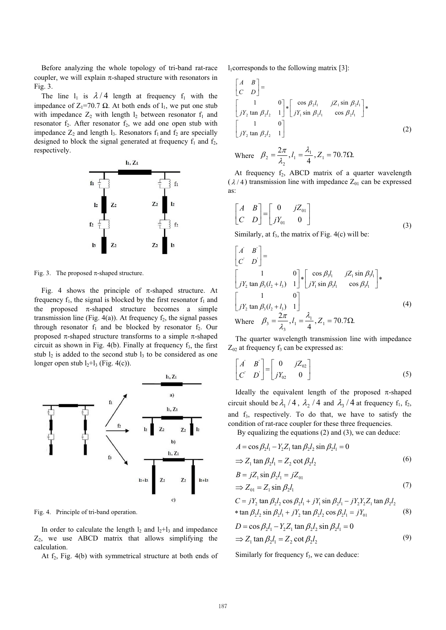Before analyzing the whole topology of tri-band rat-race coupler, we will explain  $\pi$ -shaped structure with resonators in Fig. 3.

The line  $l_1$  is  $\lambda/4$  length at frequency  $f_1$  with the impedance of  $Z_1 = 70.7 \Omega$ . At both ends of  $l_1$ , we put one stub with impedance  $Z_2$  with length  $l_2$  between resonator  $f_1$  and resonator  $f_2$ . After resonator  $f_2$ , we add one open stub with impedance  $Z_2$  and length  $l_3$ . Resonators  $f_1$  and  $f_2$  are specially designed to block the signal generated at frequency  $f_1$  and  $f_2$ , respectively.



Fig. 3. The proposed  $\pi$ -shaped structure.

Fig. 4 shows the principle of  $\pi$ -shaped structure. At frequency  $f_1$ , the signal is blocked by the first resonator  $f_1$  and the proposed  $\pi$ -shaped structure becomes a simple transmission line (Fig. 4(a)). At frequency  $f_2$ , the signal passes through resonator  $f_1$  and be blocked by resonator  $f_2$ . Our proposed  $\pi$ -shaped structure transforms to a simple  $\pi$ -shaped circuit as shown in Fig.  $4(b)$ . Finally at frequency  $f_3$ , the first stub  $l_2$  is added to the second stub  $l_3$  to be considered as one longer open stub  $l_2+l_3$  (Fig. 4(c)).



Fig. 4. Principle of tri-band operation.

In order to calculate the length  $l_2$  and  $l_2+l_3$  and impedance  $Z_2$ , we use ABCD matrix that allows simplifying the calculation.

At  $f_2$ , Fig. 4(b) with symmetrical structure at both ends of

 $l_1$ corresponds to the following matrix [3]:

$$
\begin{bmatrix} A & B \ C & D \end{bmatrix} = \begin{bmatrix} 1 & 0 \ J'_{2} \tan \beta_{2}l_{2} & 1 \end{bmatrix} * \begin{bmatrix} \cos \beta_{2}l_{1} & jZ_{1} \sin \beta_{2}l_{1} \\ jY_{1} \sin \beta_{2}l_{1} & \cos \beta_{2}l_{1} \end{bmatrix} * \begin{bmatrix} 1 & 0 \\ jY_{2} \tan \beta_{2}l_{2} & 1 \end{bmatrix}
$$
 (2)

Where 
$$
\beta_2 = \frac{2\pi}{\lambda_2}, l_1 = \frac{\lambda_1}{4}, Z_1 = 70.7 \Omega.
$$

At frequency  $f_2$ , ABCD matrix of a quarter wavelength  $(\lambda/4)$  transmission line with impedance  $Z_{01}$  can be expressed as:

$$
\begin{bmatrix} A & B \\ C & D \end{bmatrix} = \begin{bmatrix} 0 & jZ_{01} \\ jY_{01} & 0 \end{bmatrix}
$$
 (3)

Similarly, at  $f_3$ , the matrix of Fig. 4(c) will be:

$$
\begin{bmatrix} \vec{A} & \vec{B} \\ \vec{C} & \vec{D} \end{bmatrix} = \begin{bmatrix} 1 & 0 \\ jY_2 \tan \beta_3 (l_2 + l_3) & 1 \end{bmatrix} * \begin{bmatrix} \cos \beta_3 l_1 & jZ_1 \sin \beta_3 l_1 \\ jY_1 \sin \beta_3 l_1 & \cos \beta_3 l_1 \end{bmatrix} * \begin{bmatrix} 1 & 0 \\ jY_2 \tan \beta_3 (l_2 + l_3) & 1 \end{bmatrix}
$$
\n(4)  
\nWhere  $\beta_3 = \frac{2\pi}{\lambda_3}, l_1 = \frac{\lambda_1}{4}, Z_1 = 70.7 \Omega.$ 

The quarter wavelength transmission line with impedance  $Z_{02}$  at frequency  $f_3$  can be expressed as:

$$
\begin{bmatrix} A' & B' \\ C' & D \end{bmatrix} = \begin{bmatrix} 0 & jZ_{02} \\ jY_{02} & 0 \end{bmatrix}
$$
 (5)

Ideally the equivalent length of the proposed  $\pi$ -shaped circuit should be  $\lambda_1 / 4$ ,  $\lambda_2 / 4$  and  $\lambda_3 / 4$  at frequency  $f_1$ ,  $f_2$ , and  $f_3$ , respectively. To do that, we have to satisfy the condition of rat-race coupler for these three frequencies.

By equalizing the equations (2) and (3), we can deduce:

$$
A = \cos \beta_2 l_1 - Y_2 Z_1 \tan \beta_2 l_2 \sin \beta_2 l_1 = 0
$$
  
\n
$$
\Rightarrow Z_1 \tan \beta_2 l_1 = Z_2 \cot \beta_2 l_2
$$
 (6)

$$
B = jZ_1 \sin \beta_2 l_1 = jZ_{01}
$$
  
\n
$$
\Rightarrow Z_{01} = Z_1 \sin \beta_2 l_1
$$
\n(7)

$$
C = jY_2 \tan \beta_2 l_2 \cos \beta_2 l_1 + jY_1 \sin \beta_2 l_1 - jY_2 Y_2 Z_1 \tan \beta_2 l_2
$$
  
\n\* tan  $\beta_2 l_2 \sin \beta_2 l_1 + jY_2 \tan \beta_2 l_2 \cos \beta_2 l_1 = jY_{01}$  (8)

$$
D = \cos \beta_2 l_1 - Y_2 Z_1 \tan \beta_2 l_2 \sin \beta_2 l_1 = 0
$$
  
\n
$$
\Rightarrow Z_1 \tan \beta_2 l_1 = Z_2 \cot \beta_2 l_2
$$
 (9)

Similarly for frequency  $f_3$ , we can deduce: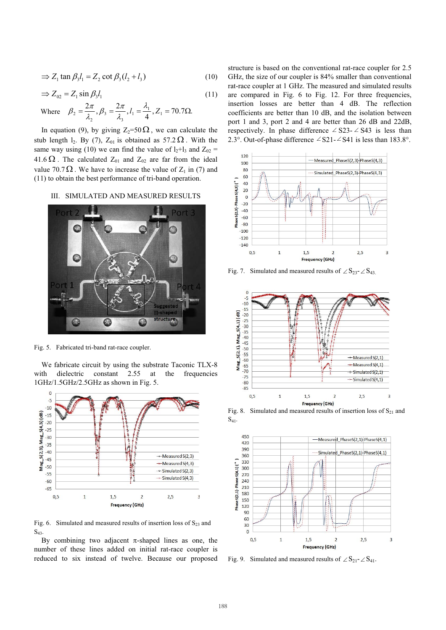$$
\Rightarrow Z_1 \tan \beta_3 l_1 = Z_2 \cot \beta_3 (l_2 + l_3)
$$
 (10)

$$
\Rightarrow Z_{02} = Z_1 \sin \beta_3 l_1 \tag{11}
$$

Where 
$$
\beta_2 = \frac{2\pi}{\lambda_2}, \beta_3 = \frac{2\pi}{\lambda_3}, l_1 = \frac{\lambda_1}{4}, Z_1 = 70.7\Omega.
$$

In equation (9), by giving  $Z_2=50 \Omega$ , we can calculate the stub length  $l_2$ . By (7),  $Z_{01}$  is obtained as 57.2  $\Omega$ . With the same way using (10) we can find the value of  $l_2+l_3$  and  $Z_{02}$  = 41.6  $\Omega$ . The calculated  $Z_{01}$  and  $Z_{02}$  are far from the ideal value 70.7  $\Omega$ . We have to increase the value of  $Z_1$  in (7) and (11) to obtain the best performance of tri-band operation.

## III. SIMULATED AND MEASURED RESULTS



Fig. 5. Fabricated tri-band rat-race coupler.

We fabricate circuit by using the substrate Taconic TLX-8 with dielectric constant 2.55 at the frequencies 1GHz/1.5GHz/2.5GHz as shown in Fig. 5.



Fig. 6. Simulated and measured results of insertion loss of  $S_{23}$  and  $S_{43}$ .

By combining two adjacent  $\pi$ -shaped lines as one, the number of these lines added on initial rat-race coupler is reduced to six instead of twelve. Because our proposed

structure is based on the conventional rat-race coupler for 2.5 GHz, the size of our coupler is 84% smaller than conventional rat-race coupler at 1 GHz. The measured and simulated results are compared in Fig. 6 to Fig. 12. For three frequencies, insertion losses are better than 4 dB. The reflection coefficients are better than 10 dB, and the isolation between port 1 and 3, port 2 and 4 are better than 26 dB and 22dB, respectively. In phase difference  $\angle$  S23-  $\angle$  S43 is less than 2.3°. Out-of-phase difference  $\angle$  S21- $\angle$ S41 is less than 183.8°.



Fig. 7. Simulated and measured results of  $\angle$  S<sub>23</sub>- $\angle$  S<sub>43</sub>.



Fig. 8. Simulated and measured results of insertion loss of  $S_{21}$  and  $S_{41}$ .



Fig. 9. Simulated and measured results of  $\angle S_{21}$ - $\angle S_{41}$ .